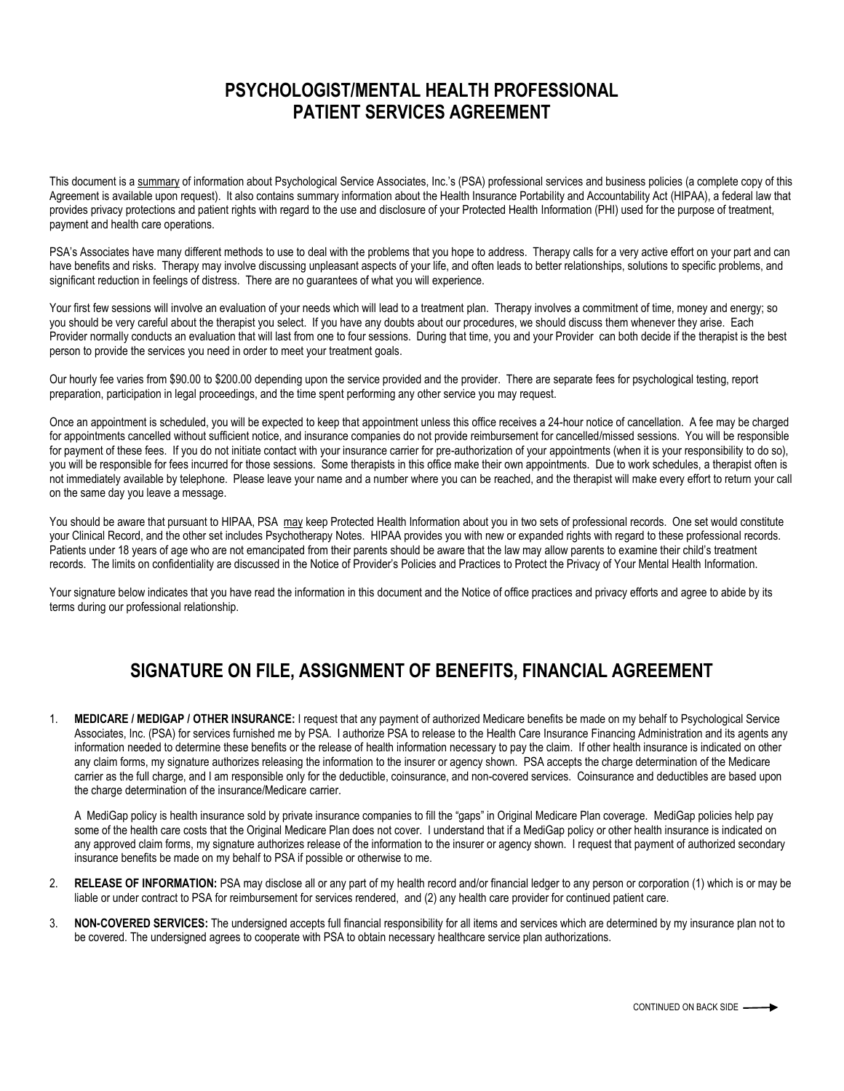## **PSYCHOLOGIST/MENTAL HEALTH PROFESSIONAL PATIENT SERVICES AGREEMENT**

This document is a summary of information about Psychological Service Associates, Inc.'s (PSA) professional services and business policies (a complete copy of this Agreement is available upon request). It also contains summary information about the Health Insurance Portability and Accountability Act (HIPAA), a federal law that provides privacy protections and patient rights with regard to the use and disclosure of your Protected Health Information (PHI) used for the purpose of treatment, payment and health care operations.

PSA's Associates have many different methods to use to deal with the problems that you hope to address. Therapy calls for a very active effort on your part and can have benefits and risks. Therapy may involve discussing unpleasant aspects of your life, and often leads to better relationships, solutions to specific problems, and significant reduction in feelings of distress. There are no guarantees of what you will experience.

Your first few sessions will involve an evaluation of your needs which will lead to a treatment plan. Therapy involves a commitment of time, money and energy; so you should be very careful about the therapist you select. If you have any doubts about our procedures, we should discuss them whenever they arise. Each Provider normally conducts an evaluation that will last from one to four sessions. During that time, you and your Provider can both decide if the therapist is the best person to provide the services you need in order to meet your treatment goals.

Our hourly fee varies from \$90.00 to \$200.00 depending upon the service provided and the provider. There are separate fees for psychological testing, report preparation, participation in legal proceedings, and the time spent performing any other service you may request.

Once an appointment is scheduled, you will be expected to keep that appointment unless this office receives a 24-hour notice of cancellation. A fee may be charged for appointments cancelled without sufficient notice, and insurance companies do not provide reimbursement for cancelled/missed sessions. You will be responsible for payment of these fees. If you do not initiate contact with your insurance carrier for pre-authorization of your appointments (when it is your responsibility to do so), you will be responsible for fees incurred for those sessions. Some therapists in this office make their own appointments. Due to work schedules, a therapist often is not immediately available by telephone. Please leave your name and a number where you can be reached, and the therapist will make every effort to return your call on the same day you leave a message.

You should be aware that pursuant to HIPAA, PSA may keep Protected Health Information about you in two sets of professional records. One set would constitute your Clinical Record, and the other set includes Psychotherapy Notes. HIPAA provides you with new or expanded rights with regard to these professional records. Patients under 18 years of age who are not emancipated from their parents should be aware that the law may allow parents to examine their child's treatment records. The limits on confidentiality are discussed in the Notice of Provider's Policies and Practices to Protect the Privacy of Your Mental Health Information.

Your signature below indicates that you have read the information in this document and the Notice of office practices and privacy efforts and agree to abide by its terms during our professional relationship.

## **SIGNATURE ON FILE, ASSIGNMENT OF BENEFITS, FINANCIAL AGREEMENT**

1. **MEDICARE / MEDIGAP / OTHER INSURANCE:** I request that any payment of authorized Medicare benefits be made on my behalf to Psychological Service Associates, Inc. (PSA) for services furnished me by PSA. I authorize PSA to release to the Health Care Insurance Financing Administration and its agents any information needed to determine these benefits or the release of health information necessary to pay the claim. If other health insurance is indicated on other any claim forms, my signature authorizes releasing the information to the insurer or agency shown. PSA accepts the charge determination of the Medicare carrier as the full charge, and I am responsible only for the deductible, coinsurance, and non-covered services. Coinsurance and deductibles are based upon the charge determination of the insurance/Medicare carrier.

A MediGap policy is health insurance sold by private insurance companies to fill the "gaps" in Original Medicare Plan coverage. MediGap policies help pay some of the health care costs that the Original Medicare Plan does not cover. I understand that if a MediGap policy or other health insurance is indicated on any approved claim forms, my signature authorizes release of the information to the insurer or agency shown. I request that payment of authorized secondary insurance benefits be made on my behalf to PSA if possible or otherwise to me.

- 2. **RELEASE OF INFORMATION:** PSA may disclose all or any part of my health record and/or financial ledger to any person or corporation (1) which is or may be liable or under contract to PSA for reimbursement for services rendered, and (2) any health care provider for continued patient care.
- 3. **NON-COVERED SERVICES:** The undersigned accepts full financial responsibility for all items and services which are determined by my insurance plan not to be covered. The undersigned agrees to cooperate with PSA to obtain necessary healthcare service plan authorizations.

CONTINUED ON BACK SIDE